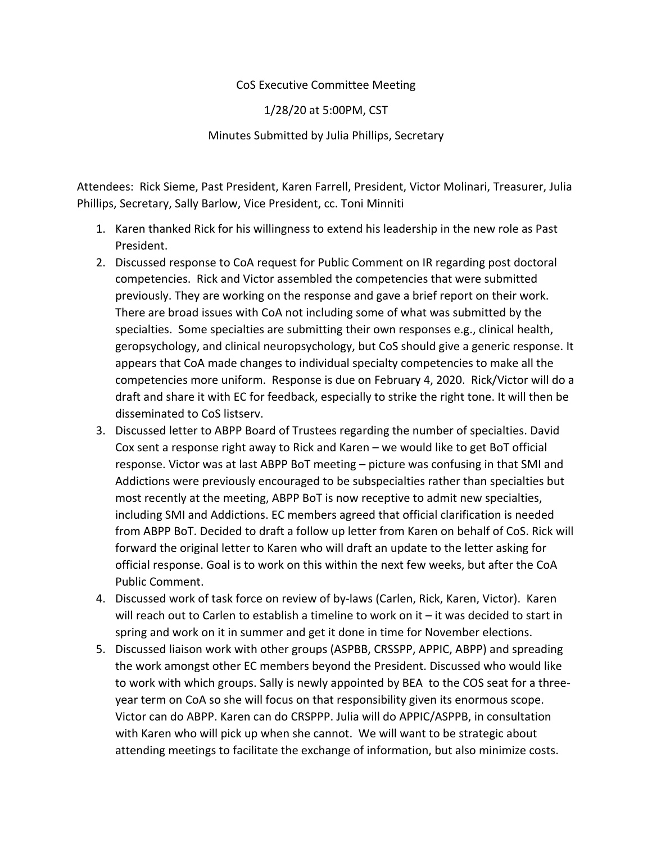## CoS Executive Committee Meeting

1/28/20 at 5:00PM, CST

Minutes Submitted by Julia Phillips, Secretary

Attendees: Rick Sieme, Past President, Karen Farrell, President, Victor Molinari, Treasurer, Julia Phillips, Secretary, Sally Barlow, Vice President, cc. Toni Minniti

- 1. Karen thanked Rick for his willingness to extend his leadership in the new role as Past President.
- 2. Discussed response to CoA request for Public Comment on IR regarding post doctoral competencies. Rick and Victor assembled the competencies that were submitted previously. They are working on the response and gave a brief report on their work. There are broad issues with CoA not including some of what was submitted by the specialties. Some specialties are submitting their own responses e.g., clinical health, geropsychology, and clinical neuropsychology, but CoS should give a generic response. It appears that CoA made changes to individual specialty competencies to make all the competencies more uniform. Response is due on February 4, 2020. Rick/Victor will do a draft and share it with EC for feedback, especially to strike the right tone. It will then be disseminated to CoS listserv.
- 3. Discussed letter to ABPP Board of Trustees regarding the number of specialties. David Cox sent a response right away to Rick and Karen – we would like to get BoT official response. Victor was at last ABPP BoT meeting – picture was confusing in that SMI and Addictions were previously encouraged to be subspecialties rather than specialties but most recently at the meeting, ABPP BoT is now receptive to admit new specialties, including SMI and Addictions. EC members agreed that official clarification is needed from ABPP BoT. Decided to draft a follow up letter from Karen on behalf of CoS. Rick will forward the original letter to Karen who will draft an update to the letter asking for official response. Goal is to work on this within the next few weeks, but after the CoA Public Comment.
- 4. Discussed work of task force on review of by-laws (Carlen, Rick, Karen, Victor). Karen will reach out to Carlen to establish a timeline to work on it – it was decided to start in spring and work on it in summer and get it done in time for November elections.
- 5. Discussed liaison work with other groups (ASPBB, CRSSPP, APPIC, ABPP) and spreading the work amongst other EC members beyond the President. Discussed who would like to work with which groups. Sally is newly appointed by BEA to the COS seat for a threeyear term on CoA so she will focus on that responsibility given its enormous scope. Victor can do ABPP. Karen can do CRSPPP. Julia will do APPIC/ASPPB, in consultation with Karen who will pick up when she cannot. We will want to be strategic about attending meetings to facilitate the exchange of information, but also minimize costs.